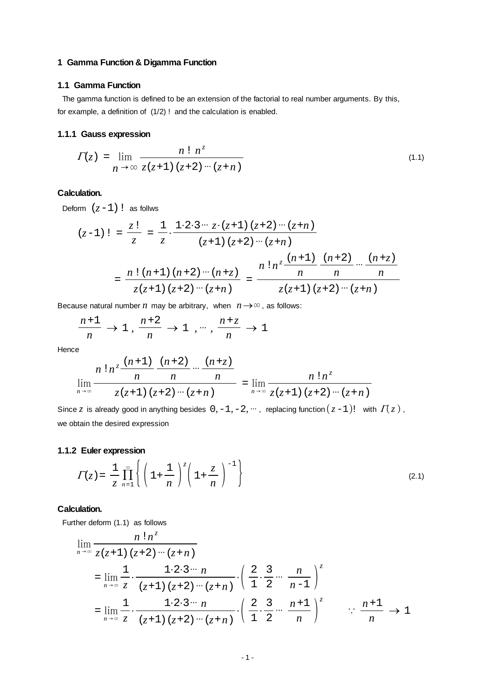# <span id="page-0-0"></span>**1 Gamma Function & Digamma Function**

# **1.1 Gamma Function**

 The gamma function is defined to be an extension of the factorial to real number arguments. By this, for example, a definition of (1/2) ! and the calculation is enabled.

## **1.1.1 Gauss expression**

$$
\Gamma(z) = \lim_{n \to \infty} \frac{n! \; n^z}{z(z+1) \; (z+2) \cdots (z+n)}
$$
\n(1.1)

# **Calculation.**

Deform  $(z-1)$  ! as follws

$$
(z-1) \; = \; \frac{z \; !}{z} \; = \; \frac{1}{z} \cdot \frac{1 \cdot 2 \cdot 3 \cdots z \cdot (z+1) \; (z+2) \cdots (z+n)}{(z+1) \; (z+2) \cdots (z+n)} \\
= \; \frac{n \; ! \; (n+1) \; (n+2) \cdots (n+z)}{z (z+1) \; (z+2) \cdots (z+n)} \; = \; \frac{n \; ! \; n^z \frac{(n+1)}{n} \; \frac{(n+2)}{n} \cdots \frac{(n+z)}{n}}{z (z+1) \; (z+2) \cdots (z+n)}
$$

Because natural number  $n$  may be arbitrary, when  $n \rightarrow \infty$ , as follows:

$$
\frac{n+1}{n} \to 1 \,,\, \frac{n+2}{n} \to 1 \,\,,\, \cdots \,,\, \frac{n+z}{n} \to 1
$$

**Hence** 

$$
\lim_{n \to \infty} \frac{n! n^z \frac{(n+1)}{n} \frac{(n+2)}{n} \cdots \frac{(n+z)}{n}}{z(z+1) (z+2) \cdots (z+n)} = \lim_{n \to \infty} \frac{n! n^z}{z(z+1) (z+2) \cdots (z+n)}
$$

Since *z* is already good in anything besides  $0, -1, -2, \dots$ , replacing function  $(z-1)!$  with  $\overline{I(z)}$ , we obtain the desired expression

# **1.1.2 Euler expression**

$$
\Gamma(z) = \frac{1}{z} \prod_{n=1}^{\infty} \left\{ \left( 1 + \frac{1}{n} \right)^z \left( 1 + \frac{z}{n} \right)^{-1} \right\}
$$
 (2.1)

#### **Calculation.**

Further deform (1.1) as follows

$$
\lim_{n \to \infty} \frac{n! n^z}{z(z+1) (z+2) \cdots (z+n)}
$$
\n
$$
= \lim_{n \to \infty} \frac{1}{z} \cdot \frac{1 \cdot 2 \cdot 3 \cdots n}{(z+1) (z+2) \cdots (z+n)} \cdot \left(\frac{2}{1} \cdot \frac{3}{2} \cdots \frac{n}{n-1}\right)^z
$$
\n
$$
= \lim_{n \to \infty} \frac{1}{z} \cdot \frac{1 \cdot 2 \cdot 3 \cdots n}{(z+1) (z+2) \cdots (z+n)} \cdot \left(\frac{2}{1} \cdot \frac{3}{2} \cdots \frac{n+1}{n}\right)^z \qquad \therefore \frac{n+1}{n} \to 1
$$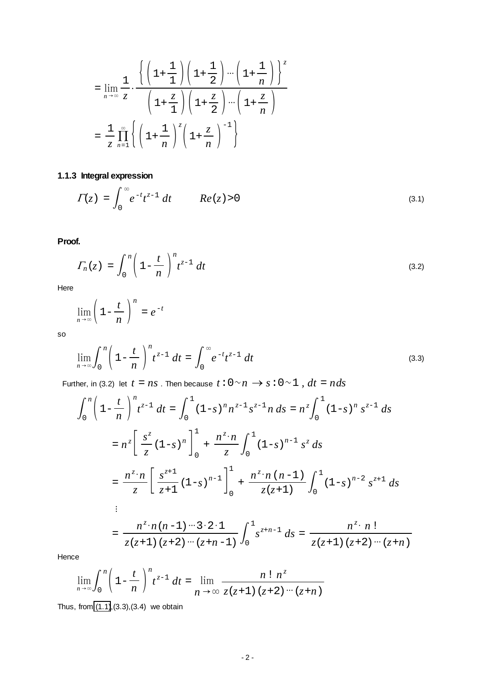$$
= \lim_{n \to \infty} \frac{1}{z} \cdot \frac{\left\{ \left( 1 + \frac{1}{1} \right) \left( 1 + \frac{1}{2} \right) \cdots \left( 1 + \frac{1}{n} \right) \right\}^z}{\left( 1 + \frac{z}{1} \right) \left( 1 + \frac{z}{2} \right) \cdots \left( 1 + \frac{z}{n} \right)}
$$

$$
= \frac{1}{z} \prod_{n=1}^{\infty} \left\{ \left( 1 + \frac{1}{n} \right)^z \left( 1 + \frac{z}{n} \right)^{-1} \right\}
$$

# **1.1.3 Integral expression**

$$
\Gamma(z) = \int_0^\infty e^{-t} t^{z-1} dt \qquad Re(z) > 0 \tag{3.1}
$$

**Proof.**

$$
\Gamma_n(z) = \int_0^n \left(1 - \frac{t}{n}\right)^n t^{z-1} dt
$$
\n(3.2)

Here

$$
\lim_{n\to\infty}\left(1-\frac{t}{n}\right)^n=e^{-t}
$$

so

$$
\lim_{n \to \infty} \int_0^n \left( 1 - \frac{t}{n} \right)^n t^{z-1} dt = \int_0^\infty e^{-t} t^{z-1} dt
$$
\n(3.3)

Further, in (3.2) let  $t = ns$  . Then because  $t: 0 \sim n \rightarrow s: 0 \sim 1$  ,  $dt = n ds$ 

$$
\int_{0}^{n} \left(1 - \frac{t}{n}\right)^{n} t^{z-1} dt = \int_{0}^{1} (1 - s)^{n} n^{z-1} s^{z-1} n ds = n^{z} \int_{0}^{1} (1 - s)^{n} s^{z-1} ds
$$
  
\n
$$
= n^{z} \left[ \frac{s^{z}}{z} (1 - s)^{n} \right]_{0}^{1} + \frac{n^{z} \cdot n}{z} \int_{0}^{1} (1 - s)^{n-1} s^{z} ds
$$
  
\n
$$
= \frac{n^{z} \cdot n}{z} \left[ \frac{s^{z+1}}{z+1} (1 - s)^{n-1} \right]_{0}^{1} + \frac{n^{z} \cdot n (n-1)}{z (z+1)} \int_{0}^{1} (1 - s)^{n-2} s^{z+1} ds
$$
  
\n
$$
= \frac{n^{z} \cdot n (n-1) \cdots 3 \cdot 2 \cdot 1}{z (z+1) (z+2) \cdots (z+n-1)} \int_{0}^{1} s^{z+n-1} ds = \frac{n^{z} \cdot n!}{z (z+1) (z+2) \cdots (z+n)}
$$

Hence

$$
\lim_{n\to\infty}\int_0^n\left(1-\frac{t}{n}\right)^n t^{z-1} dt = \lim_{n\to\infty}\frac{n! n^z}{z(z+1) (z+2) \cdots (z+n)}
$$

Thus, from [\(1.1\)](#page-0-0),(3.3),(3.4) we obtain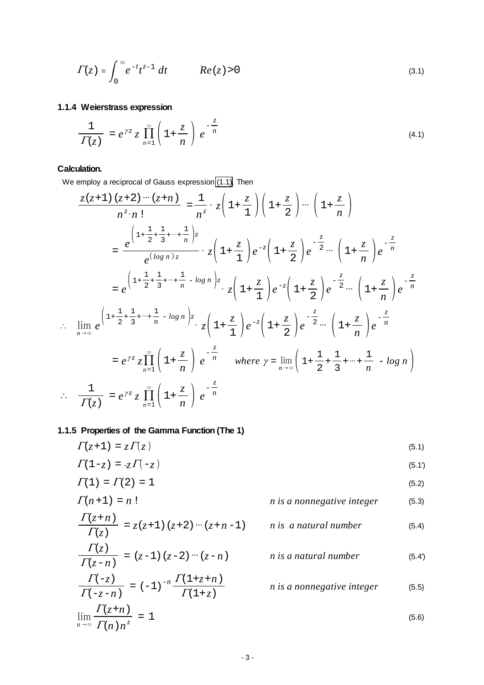<span id="page-2-0"></span>
$$
\Gamma(z) = \int_0^\infty e^{-t} t^{z-1} dt \qquad Re(z) > 0
$$
\n(3.1)

# **1.1.4 Weierstrass expression**

$$
\frac{1}{\Gamma(z)} = e^{\gamma z} z \prod_{n=1}^{\infty} \left( 1 + \frac{z}{n} \right) e^{-\frac{z}{n}}
$$
\n(4.1)

# **Calculation.**

We employ a reciprocal of Gauss expression [\(1.1\).](#page-0-0) Then

$$
\frac{z(z+1)(z+2)\cdots(z+n)}{n^z \cdot n!} = \frac{1}{n^z} \cdot z\left(1+\frac{z}{1}\right)\left(1+\frac{z}{2}\right)\cdots\left(1+\frac{z}{n}\right)
$$
\n
$$
= \frac{e^{\left(1+\frac{1}{2}+\frac{1}{3}+\cdots+\frac{1}{n}\right)z}}{e^{(\log n)z}} \cdot z\left(1+\frac{z}{1}\right)e^{-z}\left(1+\frac{z}{2}\right)e^{-\frac{z}{2}}\cdots\left(1+\frac{z}{n}\right)e^{-\frac{z}{n}}
$$
\n
$$
= e^{\left(1+\frac{1}{2}+\frac{1}{3}+\cdots+\frac{1}{n}-\log n\right)z} \cdot z\left(1+\frac{z}{1}\right)e^{-z}\left(1+\frac{z}{2}\right)e^{-\frac{z}{2}}\cdots\left(1+\frac{z}{n}\right)e^{-\frac{z}{n}}
$$
\n
$$
\therefore \lim_{n\to\infty} e^{\left(1+\frac{1}{2}+\frac{1}{3}+\cdots+\frac{1}{n}-\log n\right)z} \cdot z\left(1+\frac{z}{1}\right)e^{-z}\left(1+\frac{z}{2}\right)e^{-\frac{z}{2}}\cdots\left(1+\frac{z}{n}\right)e^{-\frac{z}{n}}
$$
\n
$$
= e^{\gamma z}z\prod_{n=1}^{\infty}\left(1+\frac{z}{n}\right)e^{-\frac{z}{n}}
$$
\nwhere  $\gamma = \lim_{n\to\infty}\left(1+\frac{1}{2}+\frac{1}{3}+\cdots+\frac{1}{n}-\log n\right)$   
\n
$$
\therefore \frac{1}{\Gamma(z)} = e^{\gamma z}z\prod_{n=1}^{\infty}\left(1+\frac{z}{n}\right)e^{-\frac{z}{n}}
$$

# **1.1.5 Properties of the Gamma Function (The 1)**

$$
\Gamma(z+1) = z \Gamma(z) \tag{5.1}
$$

 $\Gamma(1-z) = -z \Gamma(-z)$  (5.1')

$$
\Gamma(1) = \Gamma(2) = 1
$$
\n(5.2)  
\n
$$
\Gamma(n+1) = n!
$$
\n(5.3)

$$
\frac{\Gamma(z+n)}{\Gamma(z)} = z(z+1) (z+2) \cdots (z+n-1) \qquad n \text{ is a natural number} \tag{5.4}
$$

$$
\frac{\Gamma(z)}{\Gamma(z-n)} = (z-1) (z-2) \cdots (z-n) \qquad \textit{n is a natural number} \qquad (5.4)
$$

$$
\frac{\Gamma(-z)}{\Gamma(-z-n)} = (-1)^{-n} \frac{\Gamma(1+z+n)}{\Gamma(1+z)}
$$
 *n is a nonnegative integer* (5.5)

$$
\lim_{n \to \infty} \frac{\Gamma(z+n)}{\Gamma(n) n^z} = 1 \tag{5.6}
$$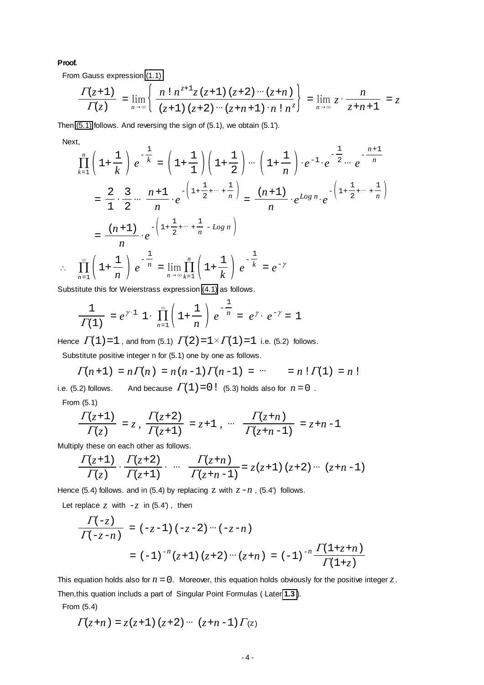#### **Proof.**

From Gauss expression [\(1.1\)](#page-0-0)

$$
\frac{\Gamma(z+1)}{\Gamma(z)} = \lim_{n \to \infty} \left\{ \frac{n! \, n^{z+1} z (z+1) (z+2) \cdots (z+n)}{(z+1) (z+2) \cdots (z+n+1) \cdot n! \, n^z} \right\} = \lim_{n \to \infty} z \cdot \frac{n}{z+n+1} = z
$$

Then [\(5.1\)](#page-2-0) follows. And reversing the sign of (5.1), we obtain (5.1').

Next,

Π*<sup>n</sup>*=1

$$
\prod_{k=1}^{n} \left( 1 + \frac{1}{k} \right) e^{-\frac{1}{k}} = \left( 1 + \frac{1}{1} \right) \left( 1 + \frac{1}{2} \right) \cdots \left( 1 + \frac{1}{n} \right) \cdot e^{-1} \cdot e^{-\frac{1}{2} \cdots} e^{-\frac{n+1}{n}}
$$
\n
$$
= \frac{2}{1} \cdot \frac{3}{2} \cdots \frac{n+1}{n} \cdot e^{-\left( 1 + \frac{1}{2} + \cdots + \frac{1}{n} \right)} = \frac{(n+1)}{n} \cdot e^{\log n} \cdot e^{-\left( 1 + \frac{1}{2} + \cdots + \frac{1}{n} \right)}
$$
\n
$$
= \frac{(n+1)}{n} \cdot e^{-\left( 1 + \frac{1}{2} + \cdots + \frac{1}{n} - \log n \right)}
$$
\n
$$
\prod_{n=1}^{\infty} \left( 1 + \frac{1}{n} \right) e^{-\frac{1}{n}} = \lim_{n \to \infty} \prod_{k=1}^{n} \left( 1 + \frac{1}{k} \right) e^{-\frac{1}{k}} = e^{-\gamma}
$$

Substitute this for Weierstrass expression [\(4.1\)](#page-2-0) as follows.

$$
\frac{1}{\Gamma(1)} = e^{\gamma \cdot 1} \cdot 1 \cdot \prod_{n=1}^{\infty} \left( 1 + \frac{1}{n} \right) e^{-\frac{1}{n}} = e^{\gamma} \cdot e^{-\gamma} = 1
$$

Hence  $\Gamma(1) = 1$ , and from (5.1)  $\Gamma(2) = 1 \times \Gamma(1) = 1$  i.e. (5.2) follows.

Substitute positive integer n for (5.1) one by one as follows.

$$
\Gamma(n+1) = n\Gamma(n) = n(n-1)\Gamma(n-1) = \cdots = n \cdot \Gamma(1) = n \cdot 1
$$

i.e. (5.2) follows. And because  $\Gamma(1) = 0!$  (5.3) holds also for  $n = 0$ . From (5.1)

$$
\frac{\Gamma(z+1)}{\Gamma(z)} = z, \ \frac{\Gamma(z+2)}{\Gamma(z+1)} = z+1 \ , \ \cdots \ \ \frac{\Gamma(z+n)}{\Gamma(z+n-1)} = z+n-1
$$

Multiply these on each other as follows.

$$
\frac{\Gamma(z+1)}{\Gamma(z)} \cdot \frac{\Gamma(z+2)}{\Gamma(z+1)} \cdot \cdots \frac{\Gamma(z+n)}{\Gamma(z+n-1)} = z(z+1) (z+2) \cdots (z+n-1)
$$

Hence (5.4) follows. and in (5.4) by replacing  $Z$  with  $Z - n$ , (5.4') follows.

Let replace  $\zeta$  with  $-\zeta$  in (5.4'), then

$$
\frac{\Gamma(-z)}{\Gamma(-z-n)} = (-z-1) (-z-2) \cdots (-z-n)
$$
  
=  $(-1)^{-n} (z+1) (z+2) \cdots (z+n) = (-1)^{-n} \frac{\Gamma(1+z+n)}{\Gamma(1+z)}$ 

This equation holds also for  $n = 0$ . Moreover, this equation holds obviously for the positive integer  $z$ . Then,this quation includs a part of Singular Point Formulas ( Later **[1.3](#page-11-0)** ).

From (5.4)

$$
\Gamma(z+n) = z(z+1) (z+2) \cdots (z+n-1) \Gamma(z)
$$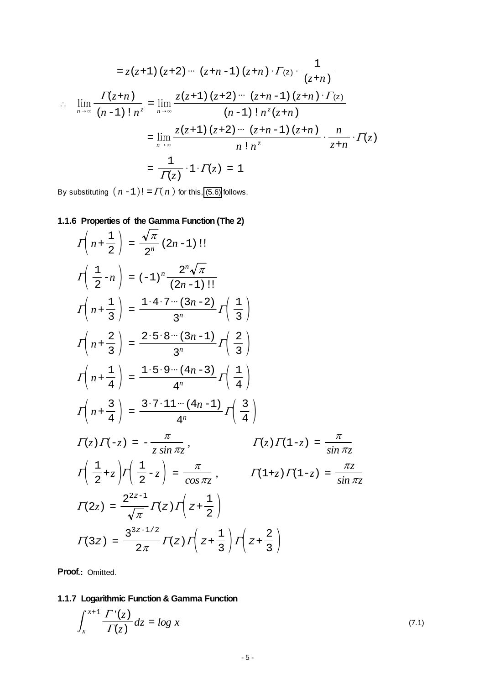<span id="page-4-0"></span>
$$
= z(z+1) (z+2) \cdots (z+n-1) (z+n) \cdot \Gamma(z) \cdot \frac{1}{(z+n)}
$$
  
\n
$$
\therefore \lim_{n \to \infty} \frac{\Gamma(z+n)}{(n-1)! n^{z}} = \lim_{n \to \infty} \frac{z(z+1) (z+2) \cdots (z+n-1) (z+n) \cdot \Gamma(z)}{(n-1)! n^{z} (z+n)}
$$
  
\n
$$
= \lim_{n \to \infty} \frac{z(z+1) (z+2) \cdots (z+n-1) (z+n)}{n! n^{z}} \cdot \frac{n}{z+n} \cdot \Gamma(z)
$$
  
\n
$$
= \frac{1}{\Gamma(z)} \cdot 1 \cdot \Gamma(z) = 1
$$

By substituting  $(n-1)! = \Gamma(n)$  for this, [\(5.6\)](#page-2-0) follows.

# **1.1.6 Properties of the Gamma Function (The 2)**

$$
I\left(n+\frac{1}{2}\right) = \frac{\sqrt{\pi}}{2^n} (2n-1) \text{!} \nI\left(\frac{1}{2}-n\right) = (-1)^n \frac{2^n \sqrt{\pi}}{(2n-1) \text{!}!} \nI\left(n+\frac{1}{3}\right) = \frac{1 \cdot 4 \cdot 7 \cdots (3n-2)}{3^n} I\left(\frac{1}{3}\right) \nI\left(n+\frac{2}{3}\right) = \frac{2 \cdot 5 \cdot 8 \cdots (3n-1)}{3^n} I\left(\frac{2}{3}\right) \nI\left(n+\frac{1}{4}\right) = \frac{1 \cdot 5 \cdot 9 \cdots (4n-3)}{4^n} I\left(\frac{1}{4}\right) \nI\left(n+\frac{3}{4}\right) = \frac{3 \cdot 7 \cdot 11 \cdots (4n-1)}{4^n} I\left(\frac{3}{4}\right) \nI(z) I(-z) = -\frac{\pi}{z \sin \pi z}, \qquad I(z) I(1-z) = \frac{\pi}{\sin \pi z} \nI\left(\frac{1}{2} + z\right) I\left(\frac{1}{2} - z\right) = \frac{\pi}{\cos \pi z}, \qquad I(1+z) I(1-z) = \frac{\pi z}{\sin \pi z} \nI(2z) = \frac{2^{2z-1}}{\sqrt{\pi}} I(z) I\left(z+\frac{1}{2}\right) \nI(3z) = \frac{3^{3z-1/2}}{2\pi} I(z) I\left(z+\frac{1}{3}\right) I\left(z+\frac{2}{3}\right)
$$

**Proof.:** Omitted.

# **1.1.7 Logarithmic Function & Gamma Function**

$$
\int_{x}^{x+1} \frac{\Gamma'(z)}{\Gamma(z)} dz = \log x \tag{7.1}
$$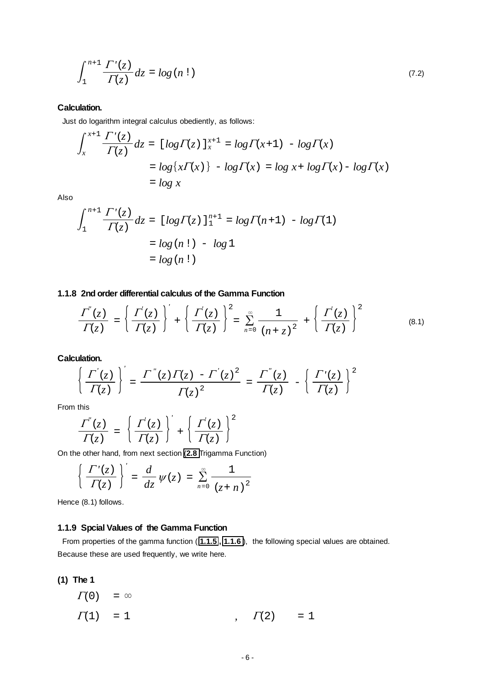$$
\int_{1}^{n+1} \frac{\Gamma'(z)}{\Gamma(z)} dz = \log(n!) \tag{7.2}
$$

## **Calculation.**

Just do logarithm integral calculus obediently, as follows:

$$
\int_{x}^{x+1} \frac{\Gamma'(z)}{\Gamma(z)} dz = \left[ \log \Gamma(z) \right]_{x}^{x+1} = \log \Gamma(x+1) - \log \Gamma(x)
$$

$$
= \log \left\{ x \Gamma(x) \right\} - \log \Gamma(x) = \log x + \log \Gamma(x) - \log \Gamma(x)
$$

$$
= \log x
$$

Also

$$
\int_{1}^{n+1} \frac{\Gamma'(z)}{\Gamma(z)} dz = [log \Gamma(z)]_{1}^{n+1} = log \Gamma(n+1) - log \Gamma(1)
$$
  
= log (n!) - log 1  
= log (n!)

# **1.1.8 2nd order differential calculus of the Gamma Function**

$$
\frac{\Gamma^{''}(z)}{\Gamma(z)} = \left\{ \frac{\Gamma^{'}(z)}{\Gamma(z)} \right\}' + \left\{ \frac{\Gamma^{'}(z)}{\Gamma(z)} \right\}^{2} = \sum_{n=0}^{\infty} \frac{1}{(n+z)^{2}} + \left\{ \frac{\Gamma^{'}(z)}{\Gamma(z)} \right\}^{2}
$$
(8.1)

**Calculation.**

$$
\left\{\frac{\Gamma^{'}(z)}{\Gamma(z)}\right\}' = \frac{\Gamma^{''}(z)\Gamma(z) - \Gamma^{'}(z)^2}{\Gamma(z)^2} = \frac{\Gamma^{''}(z)}{\Gamma(z)} - \left\{\frac{\Gamma^{'}(z)}{\Gamma(z)}\right\}^2
$$

From this

$$
\frac{\Gamma^{''}(z)}{\Gamma(z)} = \left\{ \frac{\Gamma^{'}(z)}{\Gamma(z)} \right\}^{'} + \left\{ \frac{\Gamma^{'}(z)}{\Gamma(z)} \right\}^{2}
$$

On the other hand, from next section (**[2.8](#page-7-0)** Trigamma Function)

$$
\left\{\frac{\varGamma'(z)}{\varGamma(z)}\right\}'=\frac{d}{dz}\psi(z)=\sum_{n=0}^{\infty}\frac{1}{(z+n)^2}
$$

Hence (8.1) follows.

# **1.1.9 Spcial Values of the Gamma Function**

 From properties of the gamma function ( **[1.1.5](#page-2-0) , [1.1.6](#page-4-0)** ), the following special values are obtained. Because these are used frequently, we write here.

**(1) The 1**

 $\Gamma(0) = \infty$  $\Gamma(1) = 1$  ,  $\Gamma(2) = 1$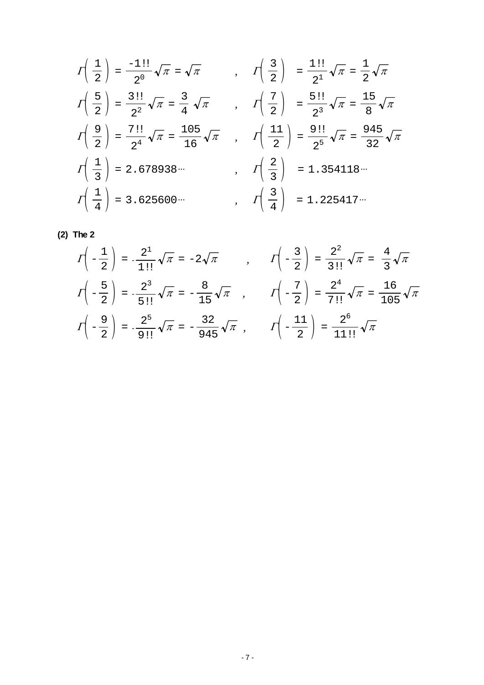$$
I\left(\frac{1}{2}\right) = \frac{-1!!}{2^0}\sqrt{\pi} = \sqrt{\pi} \qquad , \qquad I\left(\frac{3}{2}\right) = \frac{1!!}{2^1}\sqrt{\pi} = \frac{1}{2}\sqrt{\pi}
$$
  
\n
$$
I\left(\frac{5}{2}\right) = \frac{3!!}{2^2}\sqrt{\pi} = \frac{3}{4}\sqrt{\pi} \qquad , \qquad I\left(\frac{7}{2}\right) = \frac{5!!}{2^3}\sqrt{\pi} = \frac{15}{8}\sqrt{\pi}
$$
  
\n
$$
I\left(\frac{9}{2}\right) = \frac{7!!}{2^4}\sqrt{\pi} = \frac{105}{16}\sqrt{\pi} \qquad , \qquad I\left(\frac{11}{2}\right) = \frac{9!!}{2^5}\sqrt{\pi} = \frac{945}{32}\sqrt{\pi}
$$
  
\n
$$
I\left(\frac{1}{3}\right) = 2.678938...
$$
  
\n
$$
I\left(\frac{2}{3}\right) = 1.354118...
$$
  
\n
$$
I\left(\frac{1}{4}\right) = 3.625600...
$$
  
\n
$$
I\left(\frac{3}{4}\right) = 1.225417...
$$

$$
(2) The 2
$$

$$
\Gamma\left(-\frac{1}{2}\right) = -\frac{2^1}{1!!} \sqrt{\pi} = -2\sqrt{\pi} \qquad , \qquad \Gamma\left(-\frac{3}{2}\right) = \frac{2^2}{3!!} \sqrt{\pi} = \frac{4}{3} \sqrt{\pi}
$$
\n
$$
\Gamma\left(-\frac{5}{2}\right) = -\frac{2^3}{5!!} \sqrt{\pi} = -\frac{8}{15} \sqrt{\pi} \qquad , \qquad \Gamma\left(-\frac{7}{2}\right) = \frac{2^4}{7!!} \sqrt{\pi} = \frac{16}{105} \sqrt{\pi}
$$
\n
$$
\Gamma\left(-\frac{9}{2}\right) = -\frac{2^5}{9!!} \sqrt{\pi} = -\frac{32}{945} \sqrt{\pi} \qquad \Gamma\left(-\frac{11}{2}\right) = \frac{2^6}{11!!} \sqrt{\pi}
$$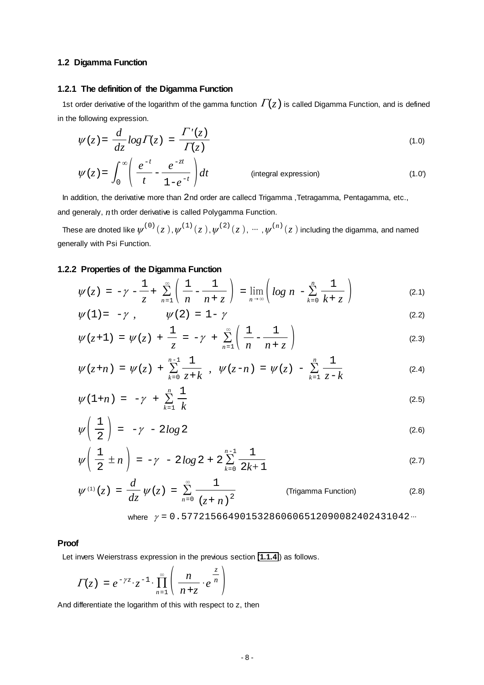# <span id="page-7-0"></span>**1.2 Digamma Function**

#### **1.2.1 The definition of the Digamma Function**

1st order derivative of the logarithm of the gamma function  $\Gamma(z)$  is called Digamma Function, and is defined in the following expression.

$$
\psi(z) = \frac{d}{dz} \log \Gamma(z) = \frac{\Gamma'(z)}{\Gamma(z)}
$$
\n(1.0)

$$
\psi'(z) = \int_0^\infty \left( \frac{e^{-t}}{t} - \frac{e^{-zt}}{1 - e^{-t}} \right) dt \qquad \text{(integral expression)} \tag{1.0'}
$$

In addition, the derivative more than 2nd order are callecd Trigamma ,Tetragamma, Pentagamma, etc.,

and generaly, *n*th order derivative is called Polygamma Function.

These are dnoted like  $\psi^{(0)}(z)$ ,  $\psi^{(1)}(z)$ ,  $\psi^{(2)}(z)$ ,  $\cdots$ ,  $\psi^{(n)}(z)$  including the digamma, and named generally with Psi Function.

## **1.2.2 Properties of the Digamma Function**

$$
\psi'(z) = -\gamma - \frac{1}{z} + \sum_{n=1}^{\infty} \left( \frac{1}{n} - \frac{1}{n+z} \right) = \lim_{n \to \infty} \left( \log n - \sum_{k=0}^{n} \frac{1}{k+z} \right) \tag{2.1}
$$

$$
\psi(1) = -\gamma \t{,} \t\t\t \psi(2) = 1 - \gamma \t\t(2.2)
$$

$$
\psi(z+1) = \psi(z) + \frac{1}{z} = -\gamma + \sum_{n=1}^{\infty} \left( \frac{1}{n} - \frac{1}{n+z} \right)
$$
 (2.3)

$$
\psi(z+n) = \psi(z) + \sum_{k=0}^{n-1} \frac{1}{z+k} , \quad \psi(z-n) = \psi(z) - \sum_{k=1}^{n} \frac{1}{z-k}
$$
 (2.4)

$$
\psi(1+n) = -\gamma + \sum_{k=1}^{n} \frac{1}{k} \tag{2.5}
$$

$$
\psi\left(\frac{1}{2}\right) = -\gamma - 2\log 2 \tag{2.6}
$$

$$
\psi\left(\frac{1}{2}\pm n\right) = -\gamma - 2\log 2 + 2\sum_{k=0}^{n-1} \frac{1}{2k+1}
$$
\n(2.7)

$$
\psi^{(1)}(z) = \frac{d}{dz} \psi(z) = \sum_{n=0}^{\infty} \frac{1}{(z+n)^2}
$$
 (Trigamma Function) (2.8)

where 
$$
\gamma = 0.577215664901532860606512090082402431042\cdots
$$

#### **Proof**

Let invers Weierstrass expression in the previous section (**[1.1.4](#page-2-0)** ) as follows.

$$
\Gamma(z) = e^{-\gamma z} \cdot z^{-1} \cdot \prod_{n=1}^{\infty} \left( \frac{n}{n+z} \cdot e^{\frac{z}{n}} \right)
$$

And differentiate the logarithm of this with respect to z, then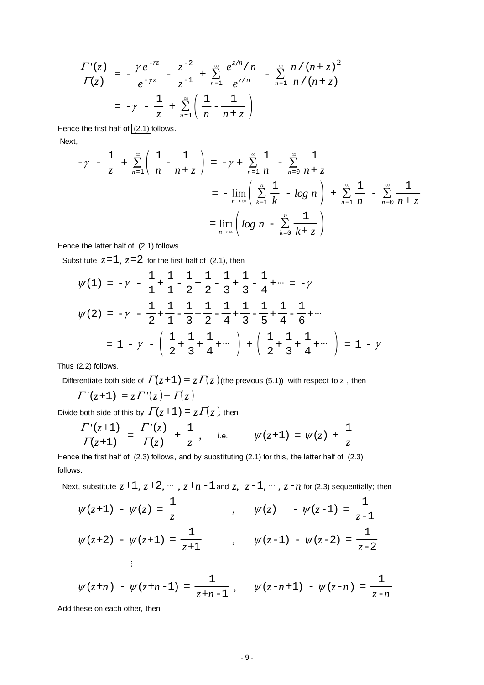$$
\frac{\Gamma'(z)}{\Gamma(z)} = -\frac{\gamma e^{-rz}}{e^{-\gamma z}} - \frac{z^{-2}}{z^{-1}} + \sum_{n=1}^{\infty} \frac{e^{z/n}/n}{e^{z/n}} - \sum_{n=1}^{\infty} \frac{n/(n+z)^2}{n/(n+z)}
$$

$$
= -\gamma - \frac{1}{z} + \sum_{n=1}^{\infty} \left(\frac{1}{n} - \frac{1}{n+z}\right)
$$

Hence the first half of [\(2.1\)](#page-7-0) follows.

Next,

$$
-\gamma - \frac{1}{z} + \sum_{n=1}^{\infty} \left( \frac{1}{n} - \frac{1}{n + z} \right) = -\gamma + \sum_{n=1}^{\infty} \frac{1}{n} - \sum_{n=0}^{\infty} \frac{1}{n + z}
$$
  

$$
= -\lim_{n \to \infty} \left( \sum_{k=1}^{n} \frac{1}{k} - \log n \right) + \sum_{n=1}^{\infty} \frac{1}{n} - \sum_{n=0}^{\infty} \frac{1}{n + z}
$$
  

$$
= \lim_{n \to \infty} \left( \log n - \sum_{k=0}^{n} \frac{1}{k + z} \right)
$$

Hence the latter half of (2.1) follows.

Substitute  $z=1$ ,  $z=2$  for the first half of (2.1), then

$$
\psi(1) = -\gamma - \frac{1}{1} + \frac{1}{1} - \frac{1}{2} + \frac{1}{2} - \frac{1}{3} + \frac{1}{3} - \frac{1}{4} + \dots = -\gamma
$$
  

$$
\psi(2) = -\gamma - \frac{1}{2} + \frac{1}{1} - \frac{1}{3} + \frac{1}{2} - \frac{1}{4} + \frac{1}{3} - \frac{1}{5} + \frac{1}{4} - \frac{1}{6} + \dots
$$
  

$$
= 1 - \gamma - \left(\frac{1}{2} + \frac{1}{3} + \frac{1}{4} + \dots\right) + \left(\frac{1}{2} + \frac{1}{3} + \frac{1}{4} + \dots\right) = 1 - \gamma
$$

Thus (2.2) follows.

Differentiate both side of  $\Gamma(z+1) = z \Gamma(z)$  (the previous (5.1)) with respect to z, then

$$
\Gamma'(z+1) = z \Gamma'(z) + \Gamma(z)
$$

Divide both side of this by  $\Gamma(z+1) = z \Gamma(z)$ , then

$$
\frac{\Gamma'(z+1)}{\Gamma(z+1)} = \frac{\Gamma'(z)}{\Gamma(z)} + \frac{1}{z}, \quad \text{i.e.} \quad \psi(z+1) = \psi(z) + \frac{1}{z}
$$

Hence the first half of (2.3) follows, and by substituting (2.1) for this, the latter half of (2.3) follows.

Next, substitute  $z+1$ ,  $z+2$ ,  $\cdots$ ,  $z+n-1$  and  $z$ ,  $z-1$ ,  $\cdots$ ,  $z-n$  for (2.3) sequentially; then

$$
\psi(z+1) - \psi(z) = \frac{1}{z}
$$
\n
$$
\psi(z) - \psi(z-1) = \frac{1}{z-1}
$$
\n
$$
\psi(z+2) - \psi(z+1) = \frac{1}{z+1}
$$
\n
$$
\psi(z-1) - \psi(z-2) = \frac{1}{z-2}
$$
\n
$$
\vdots
$$

$$
\psi(z+n) - \psi(z+n-1) = \frac{1}{z+n-1}, \quad \psi(z-n+1) - \psi(z-n) = \frac{1}{z-n}
$$

Add these on each other, then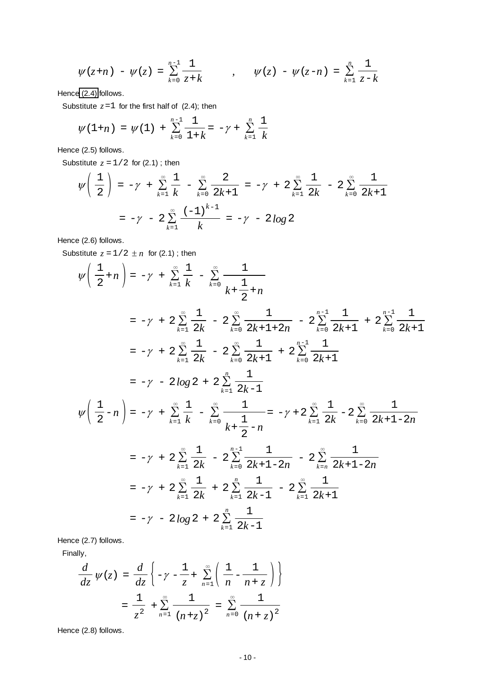$$
\psi(z+n) - \psi(z) = \sum_{k=0}^{n-1} \frac{1}{z+k} \qquad , \qquad \psi(z) - \psi(z-n) = \sum_{k=1}^{n} \frac{1}{z-k}
$$

Henc[e \(2.4\)](#page-7-0) follows.

Substitute  $z=1$  for the first half of (2.4); then

$$
\psi(1+n) = \psi(1) + \sum_{k=0}^{n-1} \frac{1}{1+k} = -\gamma + \sum_{k=1}^{n} \frac{1}{k}
$$

Hence (2.5) follows.

Substitute  $z = 1/2$  for (2.1); then

$$
\psi\left(\frac{1}{2}\right) = -\gamma + \sum_{k=1}^{\infty} \frac{1}{k} - \sum_{k=0}^{\infty} \frac{2}{2k+1} = -\gamma + 2\sum_{k=1}^{\infty} \frac{1}{2k} - 2\sum_{k=0}^{\infty} \frac{1}{2k+1}
$$

$$
= -\gamma - 2\sum_{k=1}^{\infty} \frac{(-1)^{k-1}}{k} = -\gamma - 2\log 2
$$

Hence (2.6) follows.

Substitute  $z = 1/2 \pm n$  for (2.1); then

$$
\psi\left(\frac{1}{2}+n\right) = -\gamma + \sum_{k=1}^{\infty} \frac{1}{k} - \sum_{k=0}^{\infty} \frac{1}{k + \frac{1}{2}+n}
$$
\n
$$
= -\gamma + 2\sum_{k=1}^{\infty} \frac{1}{2k} - 2\sum_{k=0}^{\infty} \frac{1}{2k+1+2n} - 2\sum_{k=0}^{n-1} \frac{1}{2k+1} + 2\sum_{k=0}^{n-1} \frac{1}{2k+1}
$$
\n
$$
= -\gamma + 2\sum_{k=1}^{\infty} \frac{1}{2k} - 2\sum_{k=0}^{\infty} \frac{1}{2k+1} + 2\sum_{k=0}^{n-1} \frac{1}{2k+1}
$$
\n
$$
= -\gamma - 2\log 2 + 2\sum_{k=1}^{n} \frac{1}{2k-1}
$$
\n
$$
\psi\left(\frac{1}{2}-n\right) = -\gamma + \sum_{k=1}^{\infty} \frac{1}{k} - \sum_{k=0}^{\infty} \frac{1}{k + \frac{1}{2}-n} = -\gamma + 2\sum_{k=1}^{\infty} \frac{1}{2k} - 2\sum_{k=0}^{\infty} \frac{1}{2k+1-2n}
$$
\n
$$
= -\gamma + 2\sum_{k=1}^{\infty} \frac{1}{2k} - 2\sum_{k=0}^{n-1} \frac{1}{2k+1-2n} - 2\sum_{k=n}^{\infty} \frac{1}{2k+1-2n}
$$
\n
$$
= -\gamma + 2\sum_{k=1}^{\infty} \frac{1}{2k} + 2\sum_{k=1}^{n} \frac{1}{2k-1} - 2\sum_{k=1}^{\infty} \frac{1}{2k+1}
$$
\n
$$
= -\gamma - 2\log 2 + 2\sum_{k=1}^{n} \frac{1}{2k-1}
$$

Hence (2.7) follows.

Finally,

$$
\frac{d}{dz}\psi(z) = \frac{d}{dz}\left\{-\gamma - \frac{1}{z} + \sum_{n=1}^{\infty} \left(\frac{1}{n} - \frac{1}{n+z}\right)\right\}
$$

$$
= \frac{1}{z^2} + \sum_{n=1}^{\infty} \frac{1}{(n+z)^2} = \sum_{n=0}^{\infty} \frac{1}{(n+z)^2}
$$

Hence (2.8) follows.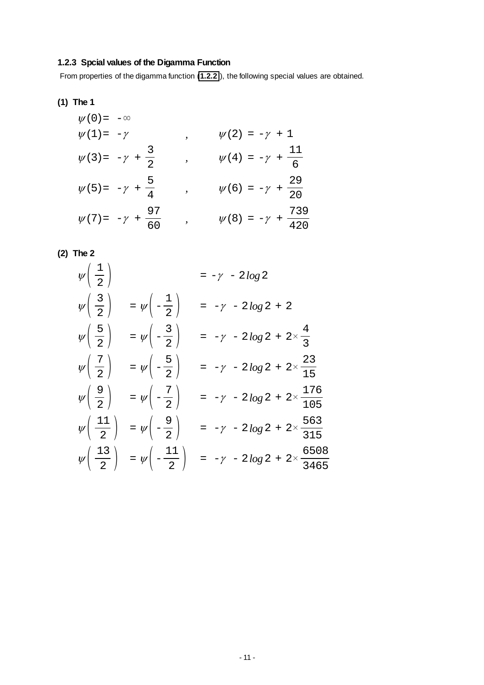# **1.2.3 Spcial values of the Digamma Function**

From properties of the digamma function (**[1.2.2](#page-7-0)** ), the following special values are obtained.

**(1) The 1**

$$
\psi(0) = -\infty
$$
  
\n
$$
\psi(1) = -\gamma
$$
  
\n
$$
\psi(2) = -\gamma + 1
$$
  
\n
$$
\psi(3) = -\gamma + \frac{3}{2}
$$
  
\n
$$
\psi(4) = -\gamma + \frac{11}{6}
$$
  
\n
$$
\psi(5) = -\gamma + \frac{5}{4}
$$
  
\n
$$
\psi(6) = -\gamma + \frac{29}{20}
$$
  
\n
$$
\psi(7) = -\gamma + \frac{97}{60}
$$
  
\n
$$
\psi(8) = -\gamma + \frac{739}{420}
$$

$$
(2) The 2
$$

$$
\psi\left(\frac{1}{2}\right) = -\gamma - 2\log 2
$$
  
\n
$$
\psi\left(\frac{3}{2}\right) = \psi\left(-\frac{1}{2}\right) = -\gamma - 2\log 2 + 2
$$
  
\n
$$
\psi\left(\frac{5}{2}\right) = \psi\left(-\frac{3}{2}\right) = -\gamma - 2\log 2 + 2 \times \frac{4}{3}
$$
  
\n
$$
\psi\left(\frac{7}{2}\right) = \psi\left(-\frac{5}{2}\right) = -\gamma - 2\log 2 + 2 \times \frac{23}{15}
$$
  
\n
$$
\psi\left(\frac{9}{2}\right) = \psi\left(-\frac{7}{2}\right) = -\gamma - 2\log 2 + 2 \times \frac{176}{105}
$$
  
\n
$$
\psi\left(\frac{11}{2}\right) = \psi\left(-\frac{9}{2}\right) = -\gamma - 2\log 2 + 2 \times \frac{563}{315}
$$
  
\n
$$
\psi\left(\frac{13}{2}\right) = \psi\left(-\frac{11}{2}\right) = -\gamma - 2\log 2 + 2 \times \frac{6508}{3465}
$$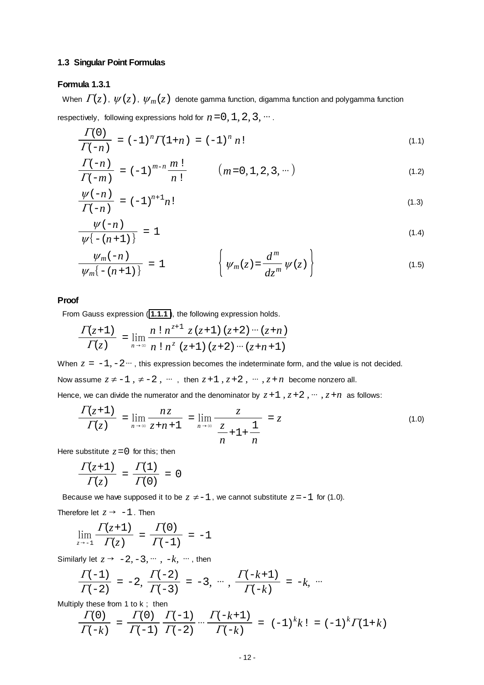#### <span id="page-11-0"></span>**1.3 Singular Point Formulas**

# **Formula 1.3.1**

When  $\Gamma(z)$ ,  $\psi(z)$ ,  $\psi_m(z)$  denote gamma function, digamma function and polygamma function respectively, following expressions hold for  $n=0, 1, 2, 3, \dots$ .

$$
\frac{\Gamma(0)}{\Gamma(-n)} = (-1)^n \Gamma(1+n) = (-1)^n n!
$$
\n(1.1)

$$
\frac{\Gamma(-n)}{\Gamma(-m)} = (-1)^{m-n} \frac{m!}{n!} \qquad (m = 0, 1, 2, 3, \cdots)
$$
\n(1.2)

$$
\frac{\psi(-n)}{\Gamma(-n)} = (-1)^{n+1} n! \tag{1.3}
$$

$$
\frac{\psi(-n)}{\psi\{-(n+1)\}} = 1 \tag{1.4}
$$

$$
\frac{\psi_m(-n)}{\psi_m\{-(n+1)\}} = 1 \qquad \qquad \left\{\psi_m(z) = \frac{d^m}{dz^m}\psi(z)\right\} \qquad (1.5)
$$

# **Proof**

From Gauss expression ( **[1.1.1](#page-0-0)** ), the following expression holds.

$$
\frac{\Gamma(z+1)}{\Gamma(z)} = \lim_{n \to \infty} \frac{n! \, n^{z+1} \, z \, (z+1) \, (z+2) \cdots (z+n)}{n! \, n^z \, (z+1) \, (z+2) \cdots (z+n+1)}
$$

When  $z = -1, -2, \dots$ , this expression becomes the indeterminate form, and the value is not decided.

Now assume  $z \neq -1$ ,  $\neq -2$ ,  $\cdots$ , then  $z+1$ ,  $z+2$ ,  $\cdots$ ,  $z+n$  become nonzero all.

Hence, we can divide the numerator and the denominator by  $z+1$ ,  $z+2$ ,  $\cdots$ ,  $z+n$  as follows:

$$
\frac{\Gamma(z+1)}{\Gamma(z)} = \lim_{n \to \infty} \frac{nz}{z+n+1} = \lim_{n \to \infty} \frac{z}{\frac{z}{n}+1+\frac{1}{n}} = z
$$
\n(1.0)

Here substitute  $z=0$  for this; then

$$
\frac{\Gamma(z+1)}{\Gamma(z)} = \frac{\Gamma(1)}{\Gamma(0)} = 0
$$

Because we have supposed it to be  $z \neq -1$ , we cannot substitute  $z = -1$  for (1.0).

Therefore let  $z \rightarrow -1$ . Then

$$
\lim_{z \to -1} \frac{\Gamma(z+1)}{\Gamma(z)} = \frac{\Gamma(0)}{\Gamma(-1)} = -1
$$

Similarly let  $z \rightarrow -2, -3, \cdots, -k, \cdots$ , then

$$
\frac{\Gamma(-1)}{\Gamma(-2)} = -2, \frac{\Gamma(-2)}{\Gamma(-3)} = -3, \cdots, \frac{\Gamma(-k+1)}{\Gamma(-k)} = -k, \cdots
$$

Multiply these from 1 to k ; then

$$
\frac{\Gamma(0)}{\Gamma(-k)} = \frac{\Gamma(0)}{\Gamma(-1)} \frac{\Gamma(-1)}{\Gamma(-2)} \cdots \frac{\Gamma(-k+1)}{\Gamma(-k)} = (-1)^k k! = (-1)^k \Gamma(1+k)
$$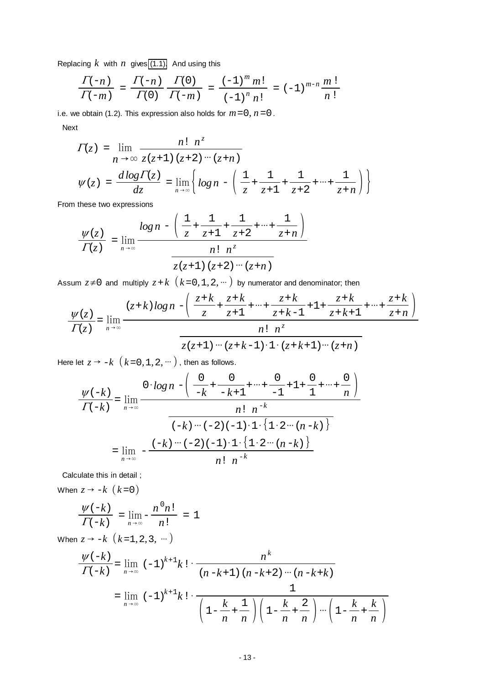Replacing  $k$  with  $n$  gives [\(1.1\).](#page-11-0) And using this

$$
\frac{\Gamma(-n)}{\Gamma(-m)} = \frac{\Gamma(-n)}{\Gamma(0)} \frac{\Gamma(0)}{\Gamma(-m)} = \frac{(-1)^m m!}{(-1)^n n!} = (-1)^{m-n} \frac{m!}{n!}
$$

i.e. we obtain (1.2). This expression also holds for  $m=0$ ,  $n=0$ .

Next

$$
\Gamma(z) = \lim_{n \to \infty} \frac{n! \; n^z}{z(z+1) \; (z+2) \cdots (z+n)}
$$
\n
$$
\psi(z) = \frac{d \log \Gamma(z)}{dz} = \lim_{n \to \infty} \left\{ \log n - \left( \frac{1}{z} + \frac{1}{z+1} + \frac{1}{z+2} + \cdots + \frac{1}{z+n} \right) \right\}
$$

From these two expressions

$$
\frac{\psi(z)}{\Gamma(z)} = \lim_{n \to \infty} \frac{\log n - \left(\frac{1}{z} + \frac{1}{z+1} + \frac{1}{z+2} + \dots + \frac{1}{z+n}\right)}{\frac{n! \; n^z}{z(z+1) \; (z+2) \cdots (z+n)}}
$$

Assum  $z \neq 0$  and multiply  $z + k$   $(k = 0, 1, 2, \dots)$  by numerator and denominator; then

$$
\frac{\psi(z)}{\Gamma(z)} = \lim_{n \to \infty} \frac{(z+k)\log n - \left(\frac{z+k}{z} + \frac{z+k}{z+1} + \dots + \frac{z+k}{z+k-1} + 1 + \frac{z+k}{z+k+1} + \dots + \frac{z+k}{z+n}\right)}{\frac{n! \ n^z}{z(z+1) \cdots (z+k-1) \cdot 1 \cdot (z+k+1) \cdots (z+n)}}
$$

Here let  $z \rightarrow -k \ (k=0, 1, 2, \dots)$ , then as follows.

$$
\frac{\psi(-k)}{\Gamma(-k)} = \lim_{n \to \infty} \frac{0 \cdot \log n - \left( \frac{0}{-k} + \frac{0}{-k+1} + \dots + \frac{0}{-1} + 1 + \frac{0}{1} + \dots + \frac{0}{n} \right)}{\frac{n! \ n^{-k}}{(k)! \ (k+1) \cdots (k)! \ (k+1) \cdots (k)! \ (k+1) \cdots (k)! \ (k+1) \cdots (k)! \cdots (k)! \cdots (k)! \cdots (k)! \cdots (k!) \cdots (k!) \cdots (k!) \cdots (k!) \cdots (k!) \cdots (k!) \cdots (k!) \cdots (k!) \cdots (k!) \cdots (k!) \cdots (k!) \cdots (k!) \cdots (k!) \cdots (k!) \cdots (k!) \cdots (k!) \cdots (k!) \cdots (k!) \cdots (k!) \cdots (k!) \cdots (k!) \cdots (k!) \cdots (k!) \cdots (k!) \cdots (k!) \cdots (k!) \cdots (k!) \cdots (k!) \cdots (k!) \cdots (k!) \cdots (k!) \cdots (k!) \cdots (k!) \cdots (k!) \cdots (k!) \cdots (k!) \cdots (k!) \cdots (k!) \cdots (k!) \cdots (k!) \cdots (k!) \cdots (k!) \cdots (k!) \cdots (k!) \cdots (k!) \cdots (k!) \cdots (k!) \cdots (k!) \cdots (k!) \cdots (k!) \cdots (k!) \cdots (k!) \cdots (k!) \cdots (k!) \cdots (k!) \cdots (k!) \cdots (k!) \cdots (k!) \cdots (k!) \cdots (k!) \cdots (k!) \cdots (k!) \cdots (k!) \cdots (k!) \cdots (k!) \cdots (k!) \cdots (k!) \cdots (k!) \cdots (k!) \cdots (k!) \cdots (k!) \cdots (k!) \cdots (k!) \cdots (k!) \cdots (k!) \cdots (k!) \cdots (k!) \cdots (k!) \cdots (k!) \cdots (k!) \cdots (k!) \cdots (k!) \cdots (k!) \cdots (k!) \cdots (k!) \cdots (k!) \cdots (k!) \cdots (k!) \cdots (k!) \cdots (k!) \cdots (k!) \cdots (k!) \cdots (k!) \cdots (k!) \cdots (k!) \cdots (k!) \cdots (k!) \cdots (k!) \cd
$$

Calculate this in detail ;

When  $z \rightarrow -k \ (k=0)$ 

$$
\frac{\psi(-k)}{\Gamma(-k)} = \lim_{n \to \infty} -\frac{n^0 n!}{n!} = 1
$$

When  $z \to -k$   $(k=1, 2, 3, \dots)$ 

$$
\frac{\psi(-k)}{\Gamma(-k)} = \lim_{n \to \infty} (-1)^{k+1} k! \cdot \frac{n^k}{(n-k+1) (n-k+2) \cdots (n-k+k)}
$$
  
= 
$$
\lim_{n \to \infty} (-1)^{k+1} k! \cdot \frac{1}{\left(1 - \frac{k}{n} + \frac{1}{n}\right) \left(1 - \frac{k}{n} + \frac{2}{n}\right) \cdots \left(1 - \frac{k}{n} + \frac{k}{n}\right)}
$$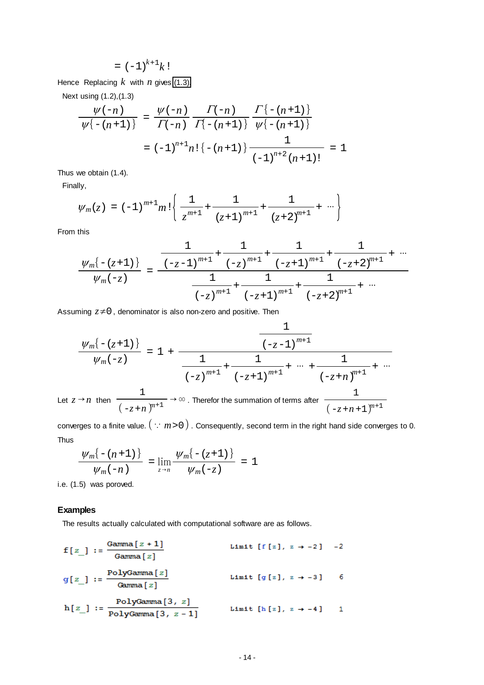$$
= (-1)^{k+1}k!
$$

Hence Replacing *k* with *n* gives [\(1.3\).](#page-11-0)

Next using (1.2),(1.3)

$$
\frac{\psi(-n)}{\psi\{-(n+1)\}} = \frac{\psi(-n)}{\Gamma(-n)} \frac{\Gamma(-n)}{\Gamma(-n+1)} \frac{\Gamma\{-(n+1)\}}{\psi\{-(n+1)\}}
$$

$$
= (-1)^{n+1} n! \{-(n+1)\} \frac{1}{(-1)^{n+2} (n+1)!} = 1
$$

Thus we obtain (1.4).

Finally,

$$
\psi_m(z) = (-1)^{m+1} m! \left\{ \frac{1}{z^{m+1}} + \frac{1}{(z+1)^{m+1}} + \frac{1}{(z+2)^{m+1}} + \cdots \right\}
$$

From this

$$
\frac{\psi_m\left\{-(z+1)\right\}}{\psi_m(-z)} = \frac{\frac{1}{(-z-1)^{m+1}} + \frac{1}{(-z)^{m+1}} + \frac{1}{(-z+1)^{m+1}} + \frac{1}{(-z+2)^{m+1}} + \cdots}{\frac{1}{(-z)^{m+1}} + \frac{1}{(-z+1)^{m+1}} + \frac{1}{(-z+2)^{m+1}} + \cdots}
$$

 $\overline{1}$ 

Assuming  $z\neq 0$ , denominator is also non-zero and positive. Then

$$
\frac{\psi_m\{- (z+1) \}}{\psi_m(-z)} = 1 + \frac{\frac{1}{(-z-1)^{m+1}}}{\frac{1}{(-z)^{m+1}} + \frac{1}{(-z+1)^{m+1}} + \dots + \frac{1}{(-z+n)^{m+1}} + \dots}
$$
  
Let  $z \to n$  then  $\frac{1}{(-z+n)^{m+1}} \to \infty$ . Therefore the summation of terms after  $\frac{1}{(-z+n+1)^{m+1}}$ 

converges to a finite value.  $\left( \because m>0 \right)$ . Consequently, second term in the right hand side converges to 0. Thus

$$
\frac{\psi_m\{-(n+1)\}}{\psi_m(-n)} = \lim_{z \to n} \frac{\psi_m\{-(z+1)\}}{\psi_m(-z)} = 1
$$

i.e. (1.5) was poroved.

# **Examples**

The results actually calculated with computational software are as follows.

$$
f[z_]: = \frac{\text{Gamma}[z+1]}{\text{Gamma}[z]} \qquad \text{Limit } [f[z], z \rightarrow -2] \quad -2
$$
\n
$$
g[z_]: = \frac{\text{PolyGamma}[z]}{\text{Gamma}[z]} \qquad \text{Limit } [g[z], z \rightarrow -3] \quad 6
$$
\n
$$
h[z_]: = \frac{\text{PolyGamma}[3, z]}{\text{PolyGamma}[3, z-1]} \qquad \text{Limit } [h[z], z \rightarrow -4] \quad 1
$$